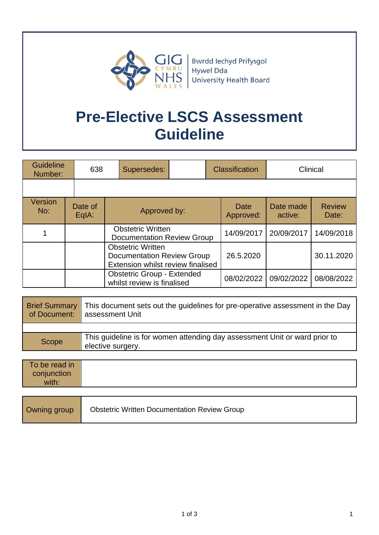

Bwrdd Iechyd Prifysgol Hywel Dda **University Health Board** 

# **Pre-Elective LSCS Assessment Guideline**

| <b>Guideline</b><br>Number: |  | 638                | Supersedes:                                                                                        |  |            | <b>Classification</b> |                      | Clinical               |
|-----------------------------|--|--------------------|----------------------------------------------------------------------------------------------------|--|------------|-----------------------|----------------------|------------------------|
|                             |  |                    |                                                                                                    |  |            |                       |                      |                        |
| Version<br>No:              |  | Date of<br>$EqA$ : | Approved by:                                                                                       |  |            | Date<br>Approved:     | Date made<br>active: | <b>Review</b><br>Date: |
|                             |  |                    | <b>Obstetric Written</b><br><b>Documentation Review Group</b>                                      |  | 14/09/2017 | 20/09/2017            | 14/09/2018           |                        |
|                             |  |                    | <b>Obstetric Written</b><br><b>Documentation Review Group</b><br>Extension whilst review finalised |  |            | 26.5.2020             |                      | 30.11.2020             |
|                             |  |                    | <b>Obstetric Group - Extended</b><br>whilst review is finalised                                    |  |            | 08/02/2022            | 09/02/2022           | 08/08/2022             |

| of Document: | Brief Summary   This document sets out the guidelines for pre-operative assessment in the Day<br>assessment Unit |
|--------------|------------------------------------------------------------------------------------------------------------------|
|              |                                                                                                                  |
| Scope        | This guideline is for women attending day assessment Unit or ward prior to<br>elective surgery.                  |

| To be read in<br>conjunction<br>with: |                                                     |
|---------------------------------------|-----------------------------------------------------|
| Owning group                          | <b>Obstetric Written Documentation Review Group</b> |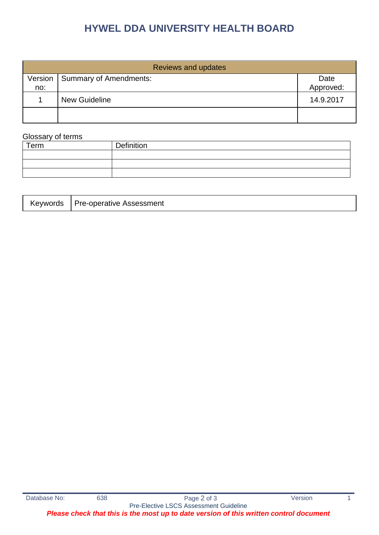# **HYWEL DDA UNIVERSITY HEALTH BOARD**

| <b>Reviews and updates</b> |                               |                   |  |
|----------------------------|-------------------------------|-------------------|--|
| Version<br>no:             | <b>Summary of Amendments:</b> | Date<br>Approved: |  |
|                            | <b>New Guideline</b>          | 14.9.2017         |  |
|                            |                               |                   |  |

# Glossary of terms

| Term | Definition |
|------|------------|
|      |            |
|      |            |
|      |            |

| Keywords | Pre-operative Assessment |
|----------|--------------------------|
|----------|--------------------------|